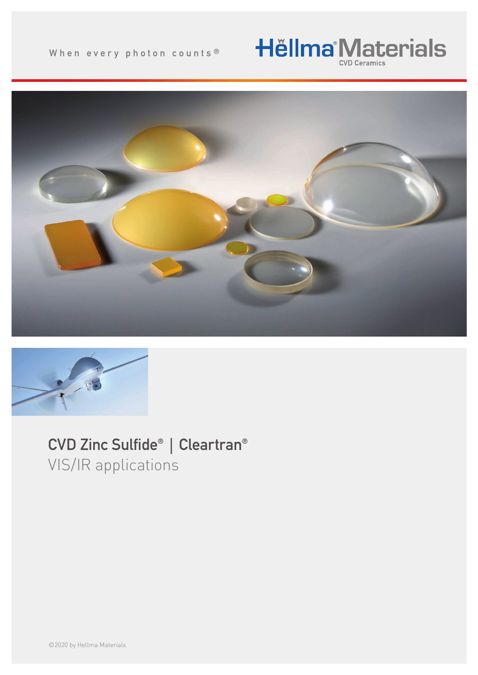# **Hëllma<sup>®</sup>Materials**





# CVD Zinc Sulfide® | Cleartran® VIS/IR applications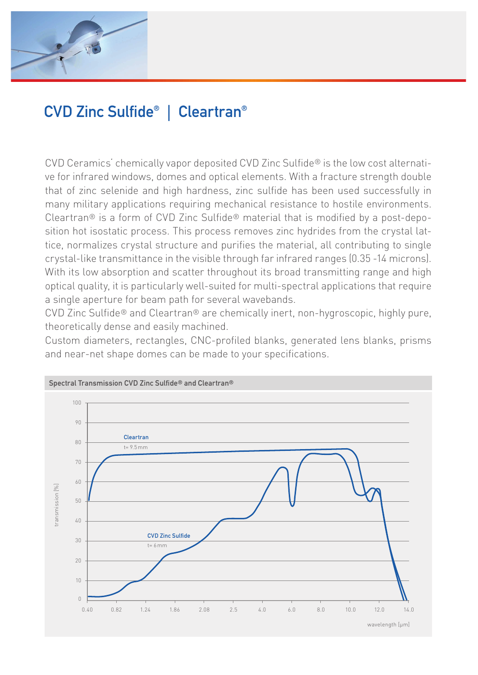

# CVD Zinc Sulfide® | Cleartran®

CVD Ceramics' chemically vapor deposited CVD Zinc Sulfide® is the low cost alternative for infrared windows, domes and optical elements. With a fracture strength double that of zinc selenide and high hardness, zinc sulfide has been used successfully in many military applications requiring mechanical resistance to hostile environments. Cleartran® is a form of CVD Zinc Sulfide® material that is modified by a post-deposition hot isostatic process. This process removes zinc hydrides from the crystal lattice, normalizes crystal structure and purifies the material, all contributing to single crystal-like transmittance in the visible through far infrared ranges (0.35 -14 microns). With its low absorption and scatter throughout its broad transmitting range and high optical quality, it is particularly well-suited for multi-spectral applications that require a single aperture for beam path for several wavebands.

CVD Zinc Sulfide® and Cleartran® are chemically inert, non-hygroscopic, highly pure, theoretically dense and easily machined.

Custom diameters, rectangles, CNC-profiled blanks, generated lens blanks, prisms and near-net shape domes can be made to your specifications.

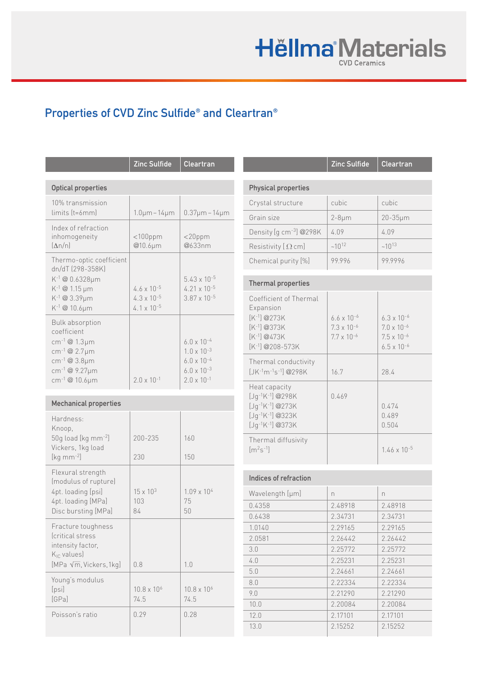# **Hěllma<sup>®</sup>Materials**

## Properties of CVD Zinc Sulfide® and Cleartran®

|                                                                                                                                                                                           | Zinc Sulfide                                                         | <b>Cleartran</b>                                                                                                     |  |  |  |  |
|-------------------------------------------------------------------------------------------------------------------------------------------------------------------------------------------|----------------------------------------------------------------------|----------------------------------------------------------------------------------------------------------------------|--|--|--|--|
| <b>Optical properties</b>                                                                                                                                                                 |                                                                      |                                                                                                                      |  |  |  |  |
| 10% transmission<br>limits (t=6mm)                                                                                                                                                        | $1.0 \mu m - 14 \mu m$                                               | $0.37 \mu m - 14 \mu m$                                                                                              |  |  |  |  |
| Index of refraction<br>inhomogeneity<br>$(\Delta n/n)$                                                                                                                                    | $<$ 100ppm<br>@10.6µm                                                | $<$ 20ppm<br>@633nm                                                                                                  |  |  |  |  |
| Thermo-optic coefficient<br>dn/dT (298-358K)<br>K-1@0.6328µm<br>K-1 @ 1.15 µm<br>K-1 @ 3.39µm<br>$K^{-1}$ @ 10.6µm                                                                        | $4.6 \times 10^{-5}$<br>$4.3 \times 10^{-5}$<br>$4.1 \times 10^{-5}$ | $5.43 \times 10^{-5}$<br>$4.21 \times 10^{-5}$<br>$3.87 \times 10^{-5}$                                              |  |  |  |  |
| <b>Bulk absorption</b><br>coefficient<br>cm <sup>-1</sup> @ 1.3 $\mu$ m<br>cm <sup>-1</sup> @ 2.7µm<br>cm <sup>-1</sup> @ 3.8µm<br>cm <sup>-1</sup> @ 9.27µm<br>cm <sup>-1</sup> @ 10.6µm | $2.0 \times 10^{-1}$                                                 | $6.0 \times 10^{-4}$<br>$1.0 \times 10^{-3}$<br>$6.0 \times 10^{-4}$<br>$6.0 \times 10^{-3}$<br>$2.0 \times 10^{-1}$ |  |  |  |  |
| <b>Mechanical properties</b>                                                                                                                                                              |                                                                      |                                                                                                                      |  |  |  |  |
| Hardness:<br>Knoop,<br>50g load [kg mm-2]<br>Vickers, 1kg load<br>[ $kg$ mm $^{-2}$ ]                                                                                                     | 200-235<br>230                                                       | 160<br>150                                                                                                           |  |  |  |  |
| Flexural strength<br>(modulus of rupture)<br>4pt. loading [psi]<br>4pt. loading [MPa]<br>Disc bursting [MPa]                                                                              | $15 \times 10^{3}$<br>103<br>84                                      | $1.09 \times 10^{4}$<br>75<br>50                                                                                     |  |  |  |  |
| Fracture toughness<br><i><u><b><u>Critical</u></b></u></i> stress<br>intensity factor,<br>K <sub>IC</sub> values)<br>[MPa $\sqrt{m}$ , Vickers, 1kg]                                      | 0.8                                                                  | 1.0                                                                                                                  |  |  |  |  |
| Young's modulus<br>[psi]<br>[GPa]                                                                                                                                                         | $10.8 \times 10^{6}$<br>74.5                                         | $10.8 \times 10^{6}$<br>74.5                                                                                         |  |  |  |  |
| Poisson's ratio                                                                                                                                                                           | 0.29                                                                 | 0.28                                                                                                                 |  |  |  |  |

| Zinc Sulfide                                                                                 | <b>Cleartran</b>                                                      |                                                                                                                            | <b>Zinc Sulfide</b>                                                  | <b>Cleartran</b>                                                                             |  |
|----------------------------------------------------------------------------------------------|-----------------------------------------------------------------------|----------------------------------------------------------------------------------------------------------------------------|----------------------------------------------------------------------|----------------------------------------------------------------------------------------------|--|
|                                                                                              |                                                                       | <b>Physical properties</b>                                                                                                 |                                                                      |                                                                                              |  |
|                                                                                              |                                                                       | Crystal structure                                                                                                          | cubic                                                                | cubic                                                                                        |  |
| $1.0 \mu m - 14 \mu m$                                                                       | $0.37 \mu m - 14 \mu m$                                               | Grain size                                                                                                                 | $2-8\mu m$                                                           | 20-35µm                                                                                      |  |
| $<$ 100ppm<br>@10.6µm                                                                        |                                                                       | Density [g cm <sup>-3</sup> ] @298K                                                                                        | 4.09                                                                 | 4.09                                                                                         |  |
|                                                                                              | $<$ 20ppm<br>@633nm                                                   | Resistivity $[$ $\Omega$ cm]                                                                                               | $~10^{12}$                                                           | $~10^{13}$                                                                                   |  |
|                                                                                              |                                                                       | Chemical purity [%]                                                                                                        | 99.996                                                               | 99.9996                                                                                      |  |
| $4.6 \times 10^{-5}$                                                                         | $5.43 \times 10^{-5}$<br>$4.21 \times 10^{-5}$                        | <b>Thermal properties</b>                                                                                                  |                                                                      |                                                                                              |  |
| $4.3 \times 10^{-5}$<br>$4.1 \times 10^{-5}$                                                 | $3.87 \times 10^{-5}$<br>$6.0 \times 10^{-4}$<br>$1.0 \times 10^{-3}$ | Coefficient of Thermal<br>Expansion<br>$[K^{-1}] @ 273K$<br>$[K^{-1}] @ 373K$<br>$[K^{-1}] @ 473K$<br>$[K^{-1}]$ @208-573K | $6.6 \times 10^{-6}$<br>$7.3 \times 10^{-6}$<br>$7.7 \times 10^{-6}$ | $6.3 \times 10^{-6}$<br>$7.0 \times 10^{-6}$<br>$7.5 \times 10^{-6}$<br>$6.5 \times 10^{-6}$ |  |
| $6.0 \times 10^{-4}$<br>$6.0 \times 10^{-3}$<br>$2.0 \times 10^{-1}$<br>$2.0 \times 10^{-1}$ | Thermal conductivity<br>$[JK^{-1}m^{-1}s^{-1}]$ @298K                 | 16.7                                                                                                                       | 28.4                                                                 |                                                                                              |  |
|                                                                                              |                                                                       | Heat capacity<br>$[Jq^{-1}K^{-1}]$ @298K<br>$[Jq^{-1}K^{-1}]$ @273K<br>$[Jq^{-1}K^{-1}]$ @323K<br>$[Jg^{-1}K^{-1}]$ @373K  | 0.469                                                                | 0.474<br>0.489<br>0.504                                                                      |  |
| 200-235<br>230                                                                               | 160<br>150                                                            | Thermal diffusivity<br>$[m2s-1]$                                                                                           |                                                                      | $1.46 \times 10^{-5}$                                                                        |  |
|                                                                                              |                                                                       | Indices of refraction                                                                                                      |                                                                      |                                                                                              |  |
| $15 \times 10^{3}$                                                                           | $1.09 \times 10^{4}$                                                  | Wavelength [µm]                                                                                                            | $\Gamma$                                                             | $\Gamma$                                                                                     |  |
| 103                                                                                          | 75                                                                    | 0.4358                                                                                                                     | 2.48918                                                              | 2.48918                                                                                      |  |
| 84                                                                                           | 50                                                                    | 0.6438                                                                                                                     | 2.34731                                                              | 2.34731                                                                                      |  |
|                                                                                              |                                                                       | 1.0140                                                                                                                     | 2.29165                                                              | 2.29165                                                                                      |  |
|                                                                                              |                                                                       | 2.0581                                                                                                                     | 2.26442                                                              | 2.26442                                                                                      |  |
|                                                                                              | 3.0                                                                   | 2.25772                                                                                                                    | 2.25772                                                              |                                                                                              |  |
|                                                                                              |                                                                       | 4.0                                                                                                                        | 2.25231                                                              | 2.25231                                                                                      |  |
| 0.8                                                                                          | 1.0                                                                   | 5.0                                                                                                                        | 2.24661                                                              | 2.24661                                                                                      |  |
|                                                                                              |                                                                       | 8.0                                                                                                                        | 2.22334                                                              | 2.22334                                                                                      |  |
| $10.8 \times 10^{6}$                                                                         | $10.8 \times 10^{6}$                                                  | 9.0                                                                                                                        | 2.21290                                                              | 2.21290                                                                                      |  |
| 74.5                                                                                         | 74.5                                                                  | 10.0                                                                                                                       | 2.20084                                                              | 2.20084                                                                                      |  |
| 0.29<br>0.28                                                                                 |                                                                       | 12.0                                                                                                                       | 2.17101                                                              | 2.17101                                                                                      |  |
|                                                                                              |                                                                       | 13.0                                                                                                                       | 2.15252                                                              | 2.15252                                                                                      |  |